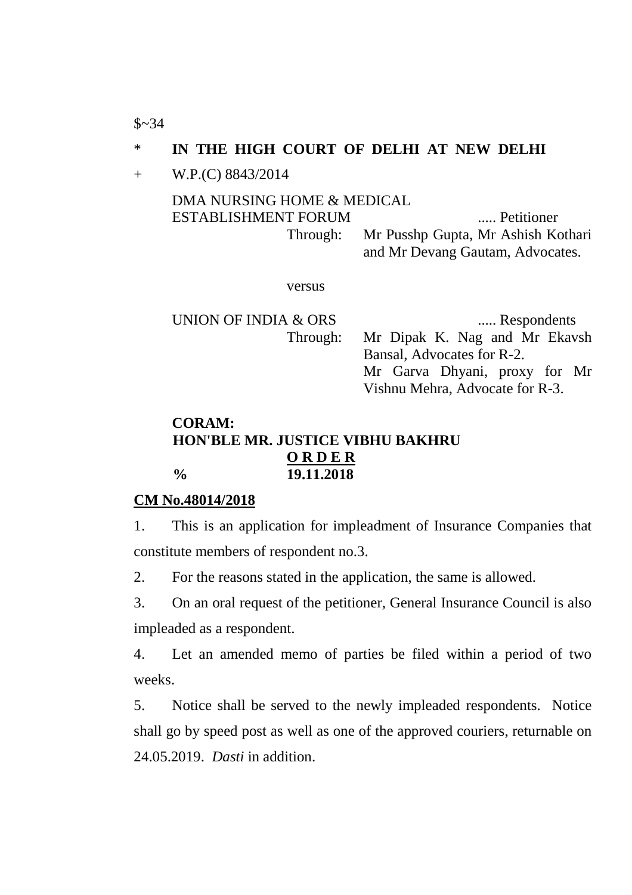$$~34$ 

# \* **IN THE HIGH COURT OF DELHI AT NEW DELHI**

+ W.P.(C) 8843/2014

#### DMA NURSING HOME & MEDICAL ESTABLISHMENT FORUM ..... Petitioner Through: Mr Pusshp Gupta, Mr Ashish Kothari and Mr Devang Gautam, Advocates.

versus

UNION OF INDIA & ORS ...... Respondents Through: Mr Dipak K. Nag and Mr Ekavsh Bansal, Advocates for R-2. Mr Garva Dhyani, proxy for Mr Vishnu Mehra, Advocate for R-3.

## **CORAM: HON'BLE MR. JUSTICE VIBHU BAKHRU O R D E R % 19.11.2018**

#### **CM No.48014/2018**

1. This is an application for impleadment of Insurance Companies that constitute members of respondent no.3.

2. For the reasons stated in the application, the same is allowed.

3. On an oral request of the petitioner, General Insurance Council is also impleaded as a respondent.

4. Let an amended memo of parties be filed within a period of two weeks.

5. Notice shall be served to the newly impleaded respondents. Notice shall go by speed post as well as one of the approved couriers, returnable on 24.05.2019. *Dasti* in addition.